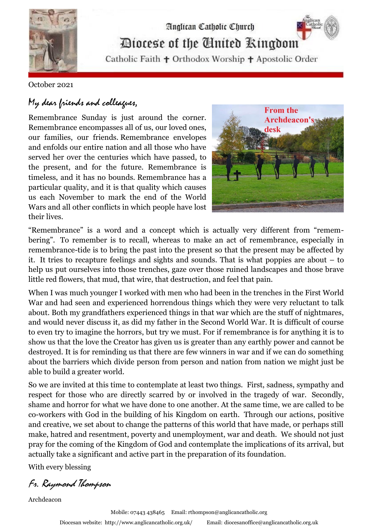

## Analican Catholic Church Diocese of the Cinited Ringdom

Catholic Faith + Orthodox Worship + Apostolic Order

## October 2021

## My dear friends and colleagues,

Remembrance Sunday is just around the corner. Remembrance encompasses all of us, our loved ones, our families, our friends. Remembrance envelopes and enfolds our entire nation and all those who have served her over the centuries which have passed, to the present, and for the future. Remembrance is timeless, and it has no bounds. Remembrance has a particular quality, and it is that quality which causes us each November to mark the end of the World Wars and all other conflicts in which people have lost their lives.



"Remembrance" is a word and a concept which is actually very different from "remembering". To remember is to recall, whereas to make an act of remembrance, especially in remembrance-tide is to bring the past into the present so that the present may be affected by it. It tries to recapture feelings and sights and sounds. That is what poppies are about – to help us put ourselves into those trenches, gaze over those ruined landscapes and those brave little red flowers, that mud, that wire, that destruction, and feel that pain.

When I was much younger I worked with men who had been in the trenches in the First World War and had seen and experienced horrendous things which they were very reluctant to talk about. Both my grandfathers experienced things in that war which are the stuff of nightmares, and would never discuss it, as did my father in the Second World War. It is difficult of course to even try to imagine the horrors, but try we must. For if remembrance is for anything it is to show us that the love the Creator has given us is greater than any earthly power and cannot be destroyed. It is for reminding us that there are few winners in war and if we can do something about the barriers which divide person from person and nation from nation we might just be able to build a greater world.

So we are invited at this time to contemplate at least two things. First, sadness, sympathy and respect for those who are directly scarred by or involved in the tragedy of war. Secondly, shame and horror for what we have done to one another. At the same time, we are called to be co-workers with God in the building of his Kingdom on earth. Through our actions, positive and creative, we set about to change the patterns of this world that have made, or perhaps still make, hatred and resentment, poverty and unemployment, war and death. We should not just pray for the coming of the Kingdom of God and contemplate the implications of its arrival, but actually take a significant and active part in the preparation of its foundation.

With every blessing

Fr. Raymond Thompson

Archdeacon